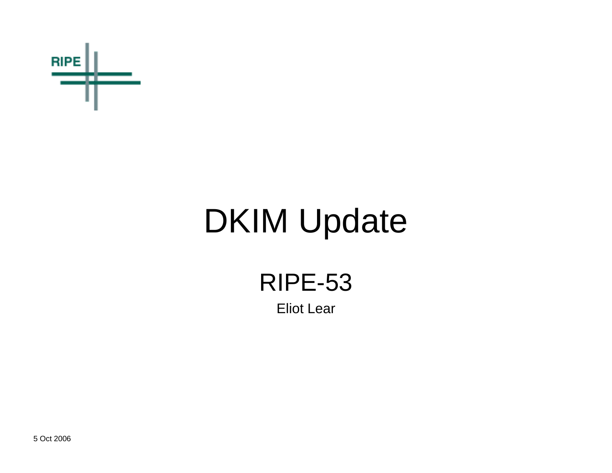

# DKIM Update

RIPE-53 Eliot Lear

5 Oct 2006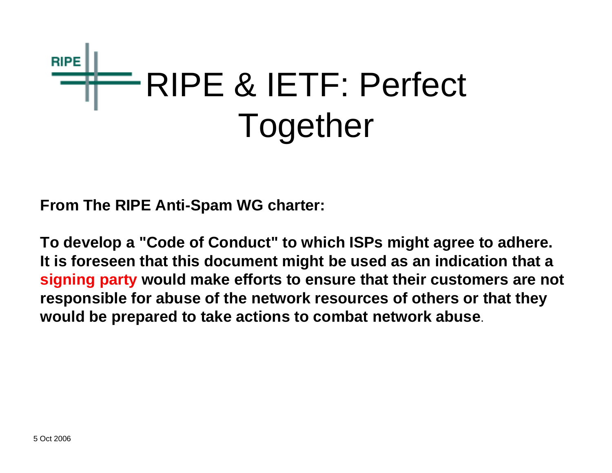

**From The RIPE Anti-Spam WG charter:**

**To develop a "Code of Conduct" to which ISPs might agree to adhere. It is foreseen that this document might be used as an indication that a signing party would make efforts to ensure that their customers are not responsible for abuse of the network resources of others or that they would be prepared to take actions to combat network abuse**.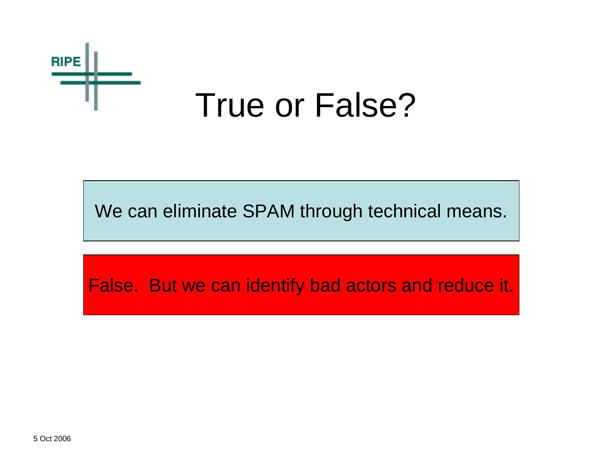

#### True or False?

We can eliminate SPAM through technical means.

False. But we can identify bad actors and reduce it.

5 Oct 2006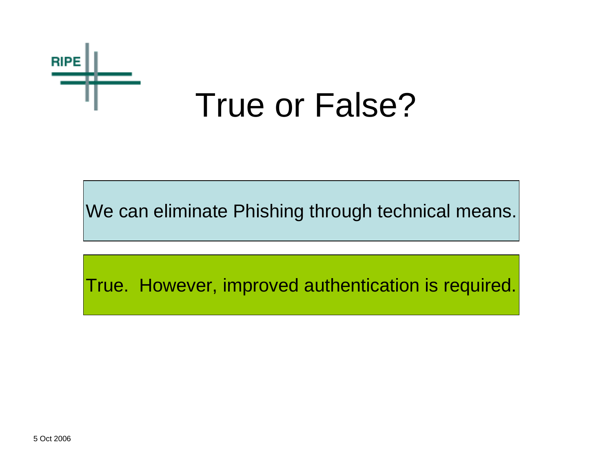

#### True or False?

We can eliminate Phishing through technical means.

True. However, improved authentication is required.

5 Oct 2006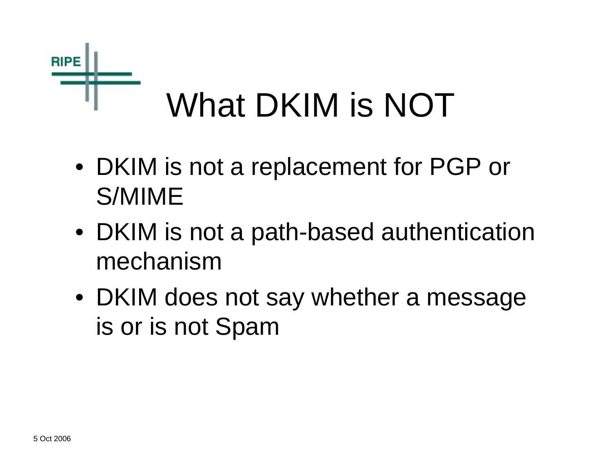

- DKIM is not a replacement for PGP or S/MIME
- DKIM is not a path-based authentication mechanism
- DKIM does not say whether a message is or is not Spam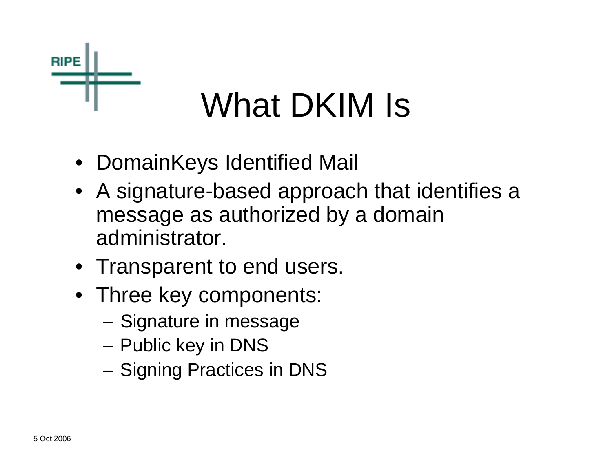

## What DKIM Is

- DomainKeys Identified Mail
- A signature-based approach that identifies a message as authorized by a domain administrator.
- Transparent to end users.
- Three key components:
	- **Links of the Company** Signature in message
	- and the state of the Public key in DNS
	- –Signing Practices in DNS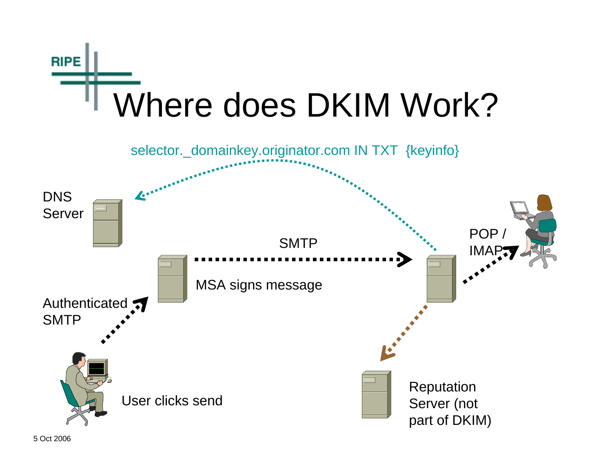

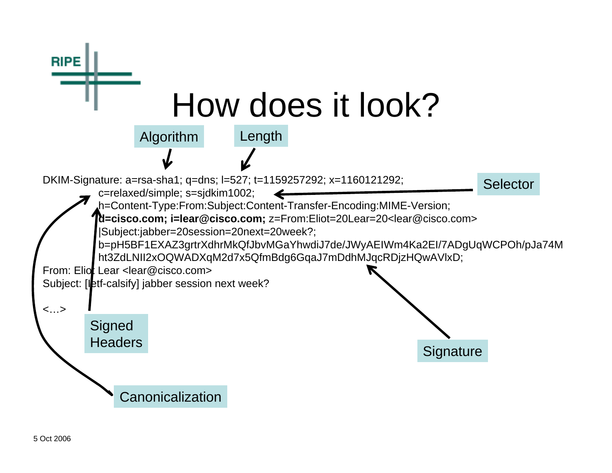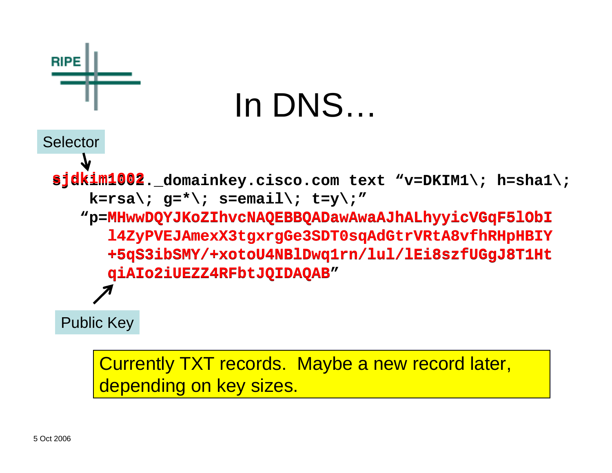

Currently TXT records. Maybe a new record later, depending on key sizes.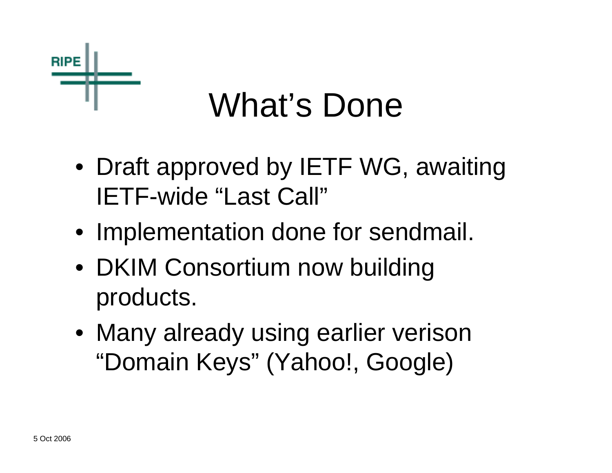

### What's Done

- Draft approved by IETF WG, awaiting IETF-wide "Last Call"
- Implementation done for sendmail.
- DKIM Consortium now building products.
- Many already using earlier verison "Domain Keys" (Yahoo!, Google)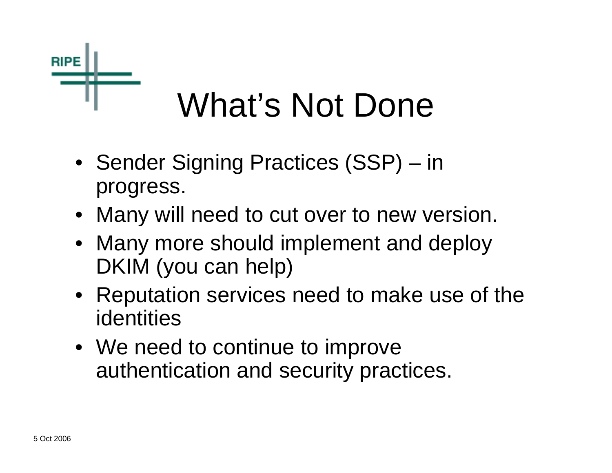

- Sender Signing Practices (SSP) in progress.
- Many will need to cut over to new version.
- Many more should implement and deploy DKIM (you can help)
- Reputation services need to make use of the identities
- We need to continue to improve authentication and security practices.